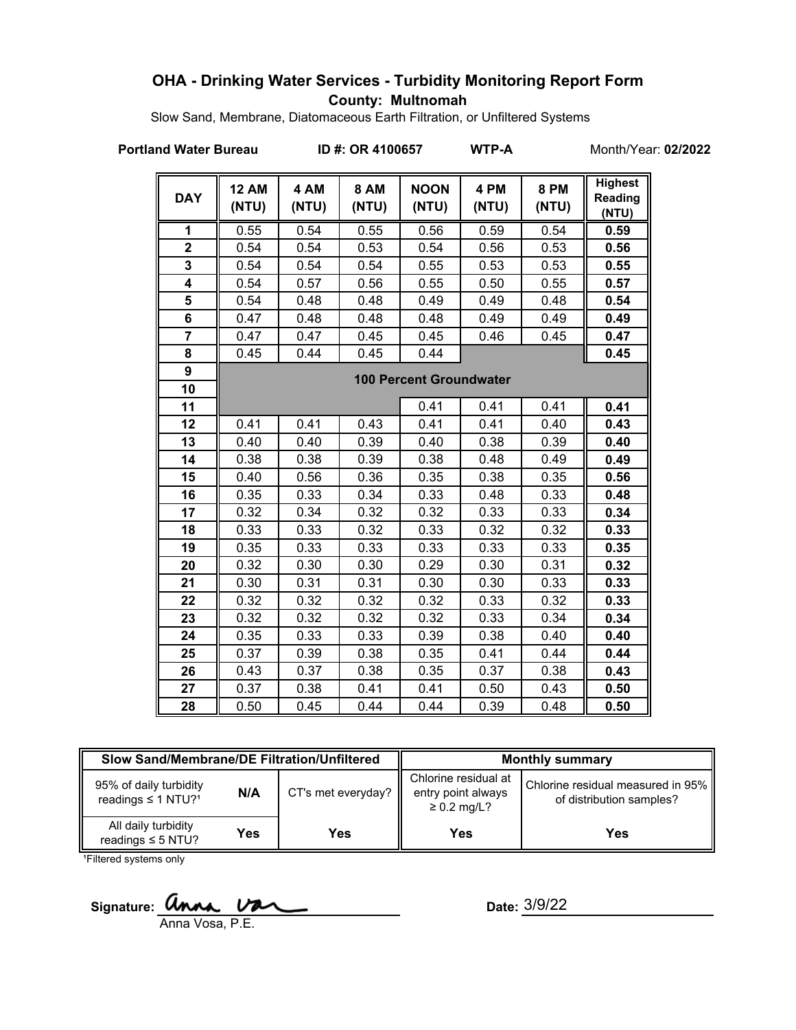## **OHA - Drinking Water Services - Turbidity Monitoring Report Form County: Multnomah**

Slow Sand, Membrane, Diatomaceous Earth Filtration, or Unfiltered Systems

#### **Portland Water Bureau ID #: OR 4100657 WTP-A** Month/Year: **02/2022**

| <b>DAY</b>     | <b>12 AM</b><br>(NTU) | 4 AM<br>(NTU) | <b>8 AM</b><br>(NTU) | <b>NOON</b><br>(NTU)           | 4 PM<br>(NTU) | <b>8 PM</b><br>(NTU) | <b>Highest</b><br><b>Reading</b><br>(NTU) |
|----------------|-----------------------|---------------|----------------------|--------------------------------|---------------|----------------------|-------------------------------------------|
| 1              | 0.55                  | 0.54          | 0.55                 | 0.56                           | 0.59          | 0.54                 | 0.59                                      |
| $\mathbf 2$    | 0.54                  | 0.54          | 0.53                 | 0.54                           | 0.56          | 0.53                 | 0.56                                      |
| 3              | 0.54                  | 0.54          | 0.54                 | 0.55                           | 0.53          | 0.53                 | 0.55                                      |
| 4              | 0.54                  | 0.57          | 0.56                 | 0.55                           | 0.50          | 0.55                 | 0.57                                      |
| 5              | 0.54                  | 0.48          | 0.48                 | 0.49                           | 0.49          | 0.48                 | 0.54                                      |
| 6              | 0.47                  | 0.48          | 0.48                 | 0.48                           | 0.49          | 0.49                 | 0.49                                      |
| $\overline{7}$ | 0.47                  | 0.47          | 0.45                 | 0.45                           | 0.46          | 0.45                 | 0.47                                      |
| 8              | 0.45                  | 0.44          | 0.45                 | 0.44                           |               |                      | 0.45                                      |
| 9              |                       |               |                      | <b>100 Percent Groundwater</b> |               |                      |                                           |
| 10             |                       |               |                      |                                |               |                      |                                           |
| 11             |                       |               |                      | 0.41                           | 0.41          | 0.41                 | 0.41                                      |
| 12             | 0.41                  | 0.41          | 0.43                 | 0.41                           | 0.41          | 0.40                 | 0.43                                      |
| 13             | 0.40                  | 0.40          | 0.39                 | 0.40                           | 0.38          | 0.39                 | 0.40                                      |
| 14             | 0.38                  | 0.38          | 0.39                 | 0.38                           | 0.48          | 0.49                 | 0.49                                      |
| 15             | 0.40                  | 0.56          | 0.36                 | 0.35                           | 0.38          | 0.35                 | 0.56                                      |
| 16             | 0.35                  | 0.33          | 0.34                 | 0.33                           | 0.48          | 0.33                 | 0.48                                      |
| 17             | 0.32                  | 0.34          | 0.32                 | 0.32                           | 0.33          | 0.33                 | 0.34                                      |
| 18             | 0.33                  | 0.33          | 0.32                 | 0.33                           | 0.32          | 0.32                 | 0.33                                      |
| 19             | 0.35                  | 0.33          | 0.33                 | 0.33                           | 0.33          | 0.33                 | 0.35                                      |
| 20             | 0.32                  | 0.30          | 0.30                 | 0.29                           | 0.30          | 0.31                 | 0.32                                      |
| 21             | 0.30                  | 0.31          | 0.31                 | 0.30                           | 0.30          | 0.33                 | 0.33                                      |
| 22             | 0.32                  | 0.32          | 0.32                 | 0.32                           | 0.33          | 0.32                 | 0.33                                      |
| 23             | 0.32                  | 0.32          | 0.32                 | 0.32                           | 0.33          | 0.34                 | 0.34                                      |
| 24             | 0.35                  | 0.33          | 0.33                 | 0.39                           | 0.38          | 0.40                 | 0.40                                      |
| 25             | 0.37                  | 0.39          | 0.38                 | 0.35                           | 0.41          | 0.44                 | 0.44                                      |
| 26             | 0.43                  | 0.37          | 0.38                 | 0.35                           | 0.37          | 0.38                 | 0.43                                      |
| 27             | 0.37                  | 0.38          | 0.41                 | 0.41                           | 0.50          | 0.43                 | 0.50                                      |
| 28             | 0.50                  | 0.45          | 0.44                 | 0.44                           | 0.39          | 0.48                 | 0.50                                      |

| Slow Sand/Membrane/DE Filtration/Unfiltered                          |     |                    | <b>Monthly summary</b>                                         |                                                               |  |
|----------------------------------------------------------------------|-----|--------------------|----------------------------------------------------------------|---------------------------------------------------------------|--|
| 95% of daily turbidity<br>N/A<br>readings $\leq 1$ NTU? <sup>1</sup> |     | CT's met everyday? | Chlorine residual at<br>entry point always<br>$\geq$ 0.2 mg/L? | Chlorine residual measured in 95%<br>of distribution samples? |  |
| All daily turbidity<br>readings $\leq$ 5 NTU?                        | Yes | Yes                | Yes                                                            | Yes                                                           |  |

<sup>1</sup>Filtered systems only

Signature: *Unna Var* 

Anna Vosa, P.E.

Date: 3/9/22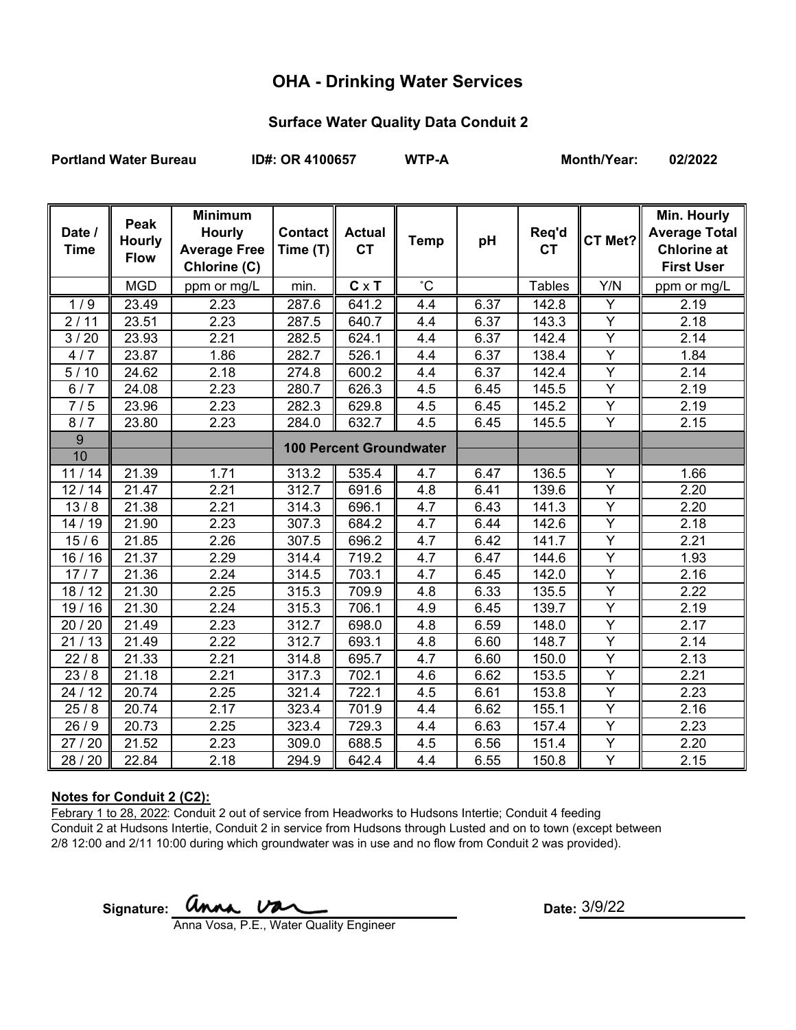# **OHA - Drinking Water Services**

### **Surface Water Quality Data Conduit 2**

**Portland Water Bureau ID#: OR 4100657 WTP-A Month/Year: 02/2022**

| Date /<br><b>Time</b> | Peak<br><b>Hourly</b><br><b>Flow</b> | <b>Minimum</b><br><b>Hourly</b><br><b>Average Free</b><br>Chlorine (C) | Contact   <br>Time (T) | <b>Actual</b><br><b>CT</b>     | <b>Temp</b>  | pH   | Req'd<br><b>CT</b> | CT Met?        | Min. Hourly<br><b>Average Total</b><br><b>Chlorine at</b><br><b>First User</b> |
|-----------------------|--------------------------------------|------------------------------------------------------------------------|------------------------|--------------------------------|--------------|------|--------------------|----------------|--------------------------------------------------------------------------------|
|                       | <b>MGD</b>                           | ppm or mg/L                                                            | min.                   | $C \times T$                   | $^{\circ}$ C |      | <b>Tables</b>      | Y/N            | ppm or mg/L                                                                    |
| 1/9                   | 23.49                                | 2.23                                                                   | 287.6                  | 641.2                          | 4.4          | 6.37 | 142.8              | Υ              | 2.19                                                                           |
| 2/11                  | 23.51                                | 2.23                                                                   | 287.5                  | 640.7                          | 4.4          | 6.37 | 143.3              | $\overline{Y}$ | 2.18                                                                           |
| 3/20                  | 23.93                                | 2.21                                                                   | 282.5                  | 624.1                          | 4.4          | 6.37 | 142.4              | $\overline{Y}$ | 2.14                                                                           |
| 4/7                   | 23.87                                | 1.86                                                                   | 282.7                  | 526.1                          | 4.4          | 6.37 | 138.4              | $\overline{Y}$ | 1.84                                                                           |
| 5/10                  | 24.62                                | 2.18                                                                   | 274.8                  | 600.2                          | 4.4          | 6.37 | 142.4              | $\overline{Y}$ | 2.14                                                                           |
| 6/7                   | 24.08                                | 2.23                                                                   | 280.7                  | 626.3                          | 4.5          | 6.45 | 145.5              | Y              | 2.19                                                                           |
| 7/5                   | 23.96                                | 2.23                                                                   | 282.3                  | 629.8                          | 4.5          | 6.45 | 145.2              | Y              | 2.19                                                                           |
| 8/7                   | 23.80                                | 2.23                                                                   | 284.0                  | 632.7                          | 4.5          | 6.45 | 145.5              | $\overline{Y}$ | 2.15                                                                           |
| $\overline{9}$        |                                      |                                                                        |                        | <b>100 Percent Groundwater</b> |              |      |                    |                |                                                                                |
| 10                    |                                      |                                                                        |                        |                                |              |      |                    |                |                                                                                |
| 11/14                 | 21.39                                | 1.71                                                                   | 313.2                  | 535.4                          | 4.7          | 6.47 | 136.5              | Y              | 1.66                                                                           |
| 12/14                 | 21.47                                | 2.21                                                                   | 312.7                  | 691.6                          | 4.8          | 6.41 | 139.6              | Y              | 2.20                                                                           |
| 13/8                  | 21.38                                | 2.21                                                                   | 314.3                  | 696.1                          | 4.7          | 6.43 | 141.3              | Y              | 2.20                                                                           |
| 14/19                 | 21.90                                | 2.23                                                                   | 307.3                  | 684.2                          | 4.7          | 6.44 | 142.6              | $\overline{Y}$ | 2.18                                                                           |
| 15/6                  | 21.85                                | 2.26                                                                   | 307.5                  | 696.2                          | 4.7          | 6.42 | 141.7              | Υ              | 2.21                                                                           |
| 16/16                 | 21.37                                | 2.29                                                                   | 314.4                  | 719.2                          | 4.7          | 6.47 | 144.6              | Y              | 1.93                                                                           |
| 17/7                  | 21.36                                | 2.24                                                                   | 314.5                  | 703.1                          | 4.7          | 6.45 | 142.0              | $\overline{Y}$ | 2.16                                                                           |
| 18/12                 | 21.30                                | 2.25                                                                   | 315.3                  | 709.9                          | 4.8          | 6.33 | 135.5              | $\overline{Y}$ | 2.22                                                                           |
| 19/16                 | 21.30                                | 2.24                                                                   | 315.3                  | 706.1                          | 4.9          | 6.45 | 139.7              | Y              | 2.19                                                                           |
| 20 / 20               | 21.49                                | 2.23                                                                   | 312.7                  | 698.0                          | 4.8          | 6.59 | 148.0              | $\overline{Y}$ | 2.17                                                                           |
| 21/13                 | 21.49                                | 2.22                                                                   | 312.7                  | 693.1                          | 4.8          | 6.60 | 148.7              | $\overline{Y}$ | 2.14                                                                           |
| 22/8                  | 21.33                                | 2.21                                                                   | 314.8                  | 695.7                          | 4.7          | 6.60 | 150.0              | Y              | 2.13                                                                           |
| 23/8                  | 21.18                                | 2.21                                                                   | 317.3                  | 702.1                          | 4.6          | 6.62 | 153.5              | $\overline{Y}$ | 2.21                                                                           |
| 24 / 12               | 20.74                                | 2.25                                                                   | 321.4                  | 722.1                          | 4.5          | 6.61 | 153.8              | Y              | 2.23                                                                           |
| 25/8                  | 20.74                                | 2.17                                                                   | 323.4                  | 701.9                          | 4.4          | 6.62 | 155.1              | Y              | 2.16                                                                           |
| 26/9                  | 20.73                                | 2.25                                                                   | 323.4                  | 729.3                          | 4.4          | 6.63 | 157.4              | Y              | 2.23                                                                           |
| 27 / 20               | 21.52                                | 2.23                                                                   | 309.0                  | 688.5                          | 4.5          | 6.56 | 151.4              | $\overline{Y}$ | 2.20                                                                           |
| 28 / 20               | 22.84                                | 2.18                                                                   | 294.9                  | 642.4                          | 4.4          | 6.55 | 150.8              | Y              | 2.15                                                                           |

#### **Notes for Conduit 2 (C2):**

Febrary 1 to 28, 2022: Conduit 2 out of service from Headworks to Hudsons Intertie; Conduit 4 feeding Conduit 2 at Hudsons Intertie, Conduit 2 in service from Hudsons through Lusted and on to town (except between 2/8 12:00 and 2/11 10:00 during which groundwater was in use and no flow from Conduit 2 was provided).

Signature: **UNMA.** UNMA USA COMPOSED AT Date:

Date:  $3/9/22$ 

Anna Vosa, P.E., Water Quality Engineer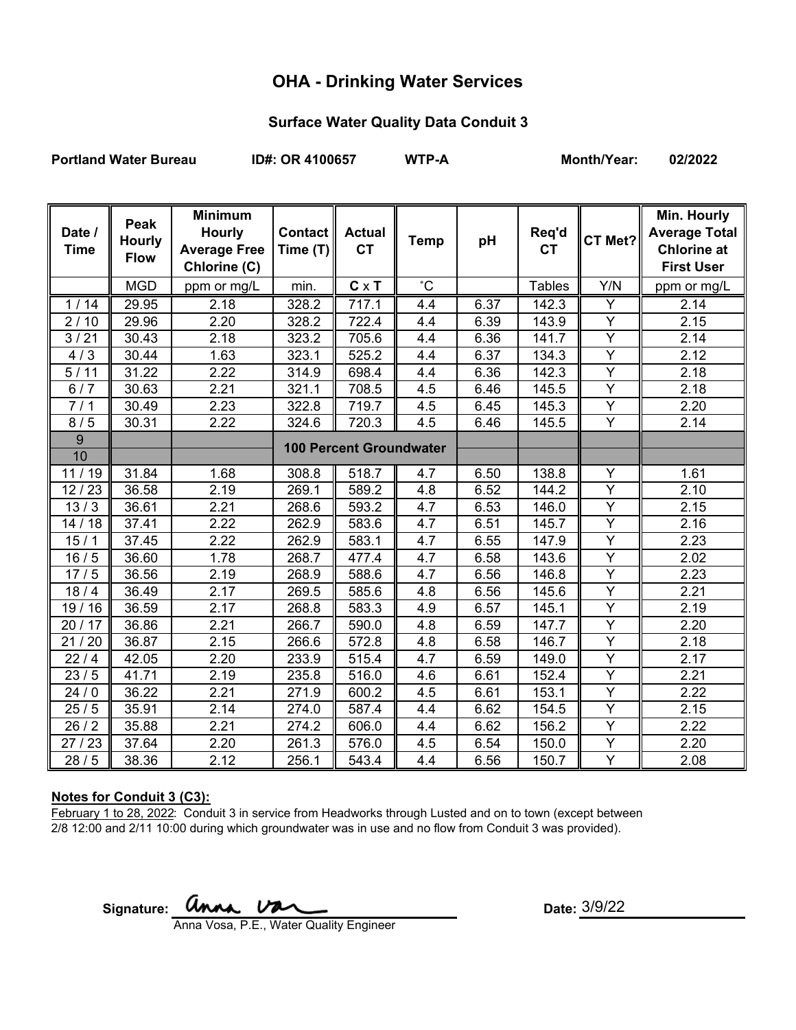# **OHA - Drinking Water Services**

### **Surface Water Quality Data Conduit 3**

Portland Water Bureau **ID#: OR 4100657** WTP-A Month/Year: 02/2022

| Date /<br><b>Time</b> | Peak<br><b>Hourly</b><br><b>Flow</b> | <b>Minimum</b><br><b>Hourly</b><br><b>Average Free</b><br>Chlorine (C) | Contact   <br>Time (T) | <b>Actual</b><br><b>CT</b>     | <b>Temp</b> | pH   | Req'd<br><b>CT</b> | CT Met?        | Min. Hourly<br><b>Average Total</b><br><b>Chlorine at</b><br><b>First User</b> |
|-----------------------|--------------------------------------|------------------------------------------------------------------------|------------------------|--------------------------------|-------------|------|--------------------|----------------|--------------------------------------------------------------------------------|
|                       | <b>MGD</b>                           | ppm or mg/L                                                            | min.                   | $C \times T$                   | $^{\circ}C$ |      | <b>Tables</b>      | Y/N            | ppm or mg/L                                                                    |
| 1/14                  | 29.95                                | 2.18                                                                   | 328.2                  | 717.1                          | 4.4         | 6.37 | 142.3              | Y              | 2.14                                                                           |
| 2/10                  | 29.96                                | 2.20                                                                   | 328.2                  | 722.4                          | 4.4         | 6.39 | 143.9              | $\overline{Y}$ | 2.15                                                                           |
| 3/21                  | 30.43                                | 2.18                                                                   | 323.2                  | 705.6                          | 4.4         | 6.36 | 141.7              | Y              | 2.14                                                                           |
| 4/3                   | 30.44                                | 1.63                                                                   | 323.1                  | 525.2                          | 4.4         | 6.37 | 134.3              | $\overline{Y}$ | 2.12                                                                           |
| 5/11                  | 31.22                                | 2.22                                                                   | 314.9                  | 698.4                          | 4.4         | 6.36 | 142.3              | $\overline{Y}$ | 2.18                                                                           |
| 6/7                   | 30.63                                | 2.21                                                                   | 321.1                  | 708.5                          | 4.5         | 6.46 | 145.5              | Y              | 2.18                                                                           |
| 7/1                   | 30.49                                | 2.23                                                                   | 322.8                  | 719.7                          | 4.5         | 6.45 | 145.3              | $\overline{Y}$ | 2.20                                                                           |
| 8/5                   | 30.31                                | 2.22                                                                   | 324.6                  | 720.3                          | 4.5         | 6.46 | 145.5              | $\overline{Y}$ | 2.14                                                                           |
| $9\,$                 |                                      |                                                                        |                        | <b>100 Percent Groundwater</b> |             |      |                    |                |                                                                                |
| 10                    |                                      |                                                                        |                        |                                |             |      |                    |                |                                                                                |
| 11/19                 | 31.84                                | 1.68                                                                   | 308.8                  | 518.7                          | 4.7         | 6.50 | 138.8              | Y              | 1.61                                                                           |
| 12/23                 | 36.58                                | 2.19                                                                   | 269.1                  | 589.2                          | 4.8         | 6.52 | 144.2              | Y              | 2.10                                                                           |
| 13/3                  | 36.61                                | 2.21                                                                   | 268.6                  | 593.2                          | 4.7         | 6.53 | 146.0              | Y              | 2.15                                                                           |
| 14/18                 | 37.41                                | 2.22                                                                   | 262.9                  | 583.6                          | 4.7         | 6.51 | 145.7              | $\overline{Y}$ | 2.16                                                                           |
| 15/1                  | 37.45                                | 2.22                                                                   | 262.9                  | 583.1                          | 4.7         | 6.55 | 147.9              | Y              | 2.23                                                                           |
| 16/5                  | 36.60                                | 1.78                                                                   | 268.7                  | 477.4                          | 4.7         | 6.58 | 143.6              | $\overline{Y}$ | 2.02                                                                           |
| 17/5                  | 36.56                                | 2.19                                                                   | 268.9                  | 588.6                          | 4.7         | 6.56 | 146.8              | $\overline{Y}$ | 2.23                                                                           |
| 18/4                  | 36.49                                | 2.17                                                                   | 269.5                  | 585.6                          | 4.8         | 6.56 | 145.6              | $\overline{Y}$ | 2.21                                                                           |
| 19/16                 | 36.59                                | 2.17                                                                   | 268.8                  | 583.3                          | 4.9         | 6.57 | 145.1              | Y              | 2.19                                                                           |
| 20/17                 | 36.86                                | 2.21                                                                   | 266.7                  | 590.0                          | 4.8         | 6.59 | 147.7              | $\overline{Y}$ | 2.20                                                                           |
| 21/20                 | 36.87                                | 2.15                                                                   | 266.6                  | 572.8                          | 4.8         | 6.58 | 146.7              | Y              | 2.18                                                                           |
| 22/4                  | 42.05                                | 2.20                                                                   | 233.9                  | 515.4                          | 4.7         | 6.59 | 149.0              | $\overline{Y}$ | 2.17                                                                           |
| 23/5                  | 41.71                                | 2.19                                                                   | 235.8                  | 516.0                          | 4.6         | 6.61 | 152.4              | $\overline{Y}$ | 2.21                                                                           |
| 24/0                  | 36.22                                | 2.21                                                                   | 271.9                  | 600.2                          | 4.5         | 6.61 | 153.1              | $\overline{Y}$ | 2.22                                                                           |
| 25/5                  | 35.91                                | 2.14                                                                   | 274.0                  | 587.4                          | 4.4         | 6.62 | 154.5              | $\overline{Y}$ | 2.15                                                                           |
| 26/2                  | 35.88                                | 2.21                                                                   | 274.2                  | 606.0                          | 4.4         | 6.62 | 156.2              | Y              | 2.22                                                                           |
| 27/23                 | 37.64                                | 2.20                                                                   | 261.3                  | 576.0                          | 4.5         | 6.54 | 150.0              | $\overline{Y}$ | 2.20                                                                           |
| 28/5                  | 38.36                                | 2.12                                                                   | 256.1                  | 543.4                          | 4.4         | 6.56 | 150.7              | Y              | 2.08                                                                           |

### **Notes for Conduit 3 (C3):**

February 1 to 28, 2022: Conduit 3 in service from Headworks through Lusted and on to town (except between 2/8 12:00 and 2/11 10:00 during which groundwater was in use and no flow from Conduit 3 was provided).

Signature: **UNMA.** UNMA USA COMPOSED AT Date:

Date:  $3/9/22$ 

Anna Vosa, P.E., Water Quality Engineer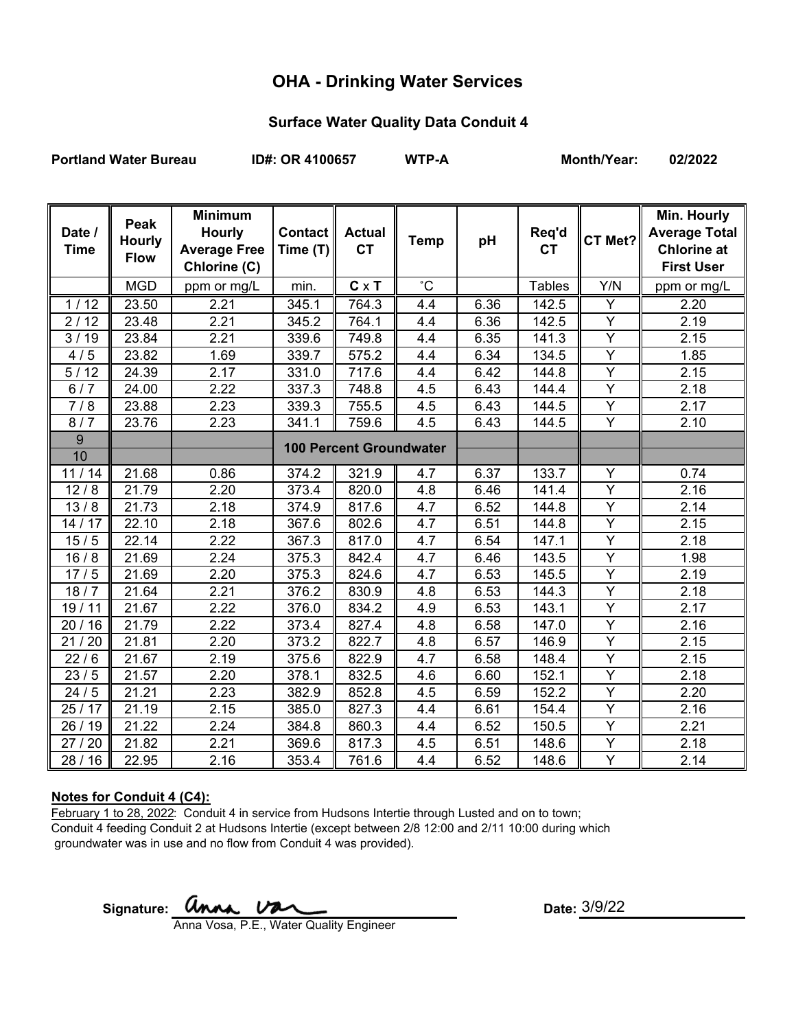# **OHA - Drinking Water Services**

### **Surface Water Quality Data Conduit 4**

**Portland Water Bureau ID#: OR 4100657 WTP-A Month/Year: 02/2022**

| Date /<br><b>Time</b> | Peak<br><b>Hourly</b><br><b>Flow</b> | <b>Minimum</b><br><b>Hourly</b><br><b>Average Free</b><br>Chlorine (C) | Contact   <br>Time (T) | <b>Actual</b><br><b>CT</b>     | <b>Temp</b>  | pH   | Req'd<br><b>CT</b> | CT Met?        | Min. Hourly<br><b>Average Total</b><br><b>Chlorine at</b><br><b>First User</b> |
|-----------------------|--------------------------------------|------------------------------------------------------------------------|------------------------|--------------------------------|--------------|------|--------------------|----------------|--------------------------------------------------------------------------------|
|                       | <b>MGD</b>                           | ppm or mg/L                                                            | min.                   | $C \times T$                   | $^{\circ}$ C |      | <b>Tables</b>      | Y/N            | ppm or mg/L                                                                    |
| 1/12                  | 23.50                                | 2.21                                                                   | 345.1                  | 764.3                          | 4.4          | 6.36 | 142.5              | Y              | 2.20                                                                           |
| 2/12                  | 23.48                                | 2.21                                                                   | 345.2                  | 764.1                          | 4.4          | 6.36 | 142.5              | Y              | 2.19                                                                           |
| 3/19                  | 23.84                                | 2.21                                                                   | 339.6                  | 749.8                          | 4.4          | 6.35 | 141.3              | Y              | 2.15                                                                           |
| 4/5                   | 23.82                                | 1.69                                                                   | 339.7                  | 575.2                          | 4.4          | 6.34 | 134.5              | $\overline{Y}$ | 1.85                                                                           |
| 5/12                  | 24.39                                | 2.17                                                                   | 331.0                  | 717.6                          | 4.4          | 6.42 | 144.8              | $\overline{Y}$ | 2.15                                                                           |
| 6/7                   | 24.00                                | 2.22                                                                   | 337.3                  | 748.8                          | 4.5          | 6.43 | 144.4              | Υ              | 2.18                                                                           |
| 7/8                   | 23.88                                | $\overline{2.23}$                                                      | 339.3                  | 755.5                          | 4.5          | 6.43 | 144.5              | $\overline{Y}$ | 2.17                                                                           |
| 8/7                   | 23.76                                | 2.23                                                                   | 341.1                  | 759.6                          | 4.5          | 6.43 | 144.5              | Y              | 2.10                                                                           |
| 9                     |                                      |                                                                        |                        | <b>100 Percent Groundwater</b> |              |      |                    |                |                                                                                |
| 10                    |                                      |                                                                        |                        |                                |              |      |                    |                |                                                                                |
| 11/14                 | 21.68                                | 0.86                                                                   | 374.2                  | 321.9                          | 4.7          | 6.37 | 133.7              | Y              | 0.74                                                                           |
| 12/8                  | 21.79                                | 2.20                                                                   | 373.4                  | 820.0                          | 4.8          | 6.46 | 141.4              | Y              | 2.16                                                                           |
| 13/8                  | 21.73                                | 2.18                                                                   | 374.9                  | 817.6                          | 4.7          | 6.52 | 144.8              | Y              | 2.14                                                                           |
| 14/17                 | 22.10                                | 2.18                                                                   | 367.6                  | 802.6                          | 4.7          | 6.51 | 144.8              | $\overline{Y}$ | 2.15                                                                           |
| 15/5                  | 22.14                                | 2.22                                                                   | 367.3                  | 817.0                          | 4.7          | 6.54 | 147.1              | Y              | 2.18                                                                           |
| 16/8                  | 21.69                                | 2.24                                                                   | 375.3                  | 842.4                          | 4.7          | 6.46 | 143.5              | Y              | 1.98                                                                           |
| 17/5                  | 21.69                                | 2.20                                                                   | 375.3                  | 824.6                          | 4.7          | 6.53 | 145.5              | Y              | 2.19                                                                           |
| 18/7                  | 21.64                                | 2.21                                                                   | 376.2                  | 830.9                          | 4.8          | 6.53 | 144.3              | $\overline{Y}$ | 2.18                                                                           |
| 19/11                 | 21.67                                | 2.22                                                                   | 376.0                  | 834.2                          | 4.9          | 6.53 | 143.1              | $\overline{Y}$ | 2.17                                                                           |
| 20/16                 | 21.79                                | 2.22                                                                   | 373.4                  | 827.4                          | 4.8          | 6.58 | 147.0              | $\overline{Y}$ | 2.16                                                                           |
| 21/20                 | 21.81                                | 2.20                                                                   | 373.2                  | 822.7                          | 4.8          | 6.57 | 146.9              | $\overline{Y}$ | 2.15                                                                           |
| 22/6                  | 21.67                                | 2.19                                                                   | 375.6                  | 822.9                          | 4.7          | 6.58 | 148.4              | Y              | 2.15                                                                           |
| 23/5                  | 21.57                                | 2.20                                                                   | 378.1                  | 832.5                          | 4.6          | 6.60 | 152.1              | Y              | 2.18                                                                           |
| 24/5                  | 21.21                                | 2.23                                                                   | 382.9                  | 852.8                          | 4.5          | 6.59 | 152.2              | Y              | 2.20                                                                           |
| 25/17                 | 21.19                                | 2.15                                                                   | 385.0                  | 827.3                          | 4.4          | 6.61 | 154.4              | Y              | 2.16                                                                           |
| 26 / 19               | 21.22                                | 2.24                                                                   | 384.8                  | 860.3                          | 4.4          | 6.52 | 150.5              | Y              | 2.21                                                                           |
| 27/20                 | 21.82                                | 2.21                                                                   | 369.6                  | 817.3                          | 4.5          | 6.51 | 148.6              | Y              | 2.18                                                                           |
| 28/16                 | 22.95                                | 2.16                                                                   | 353.4                  | 761.6                          | 4.4          | 6.52 | 148.6              | Y              | 2.14                                                                           |

#### **Notes for Conduit 4 (C4):**

February 1 to 28, 2022: Conduit 4 in service from Hudsons Intertie through Lusted and on to town; Conduit 4 feeding Conduit 2 at Hudsons Intertie (except between 2/8 12:00 and 2/11 10:00 during which groundwater was in use and no flow from Conduit 4 was provided).

Signature: **UNAA.** UAA UARCOMENTER Date:

3/9/22

Anna Vosa, P.E., Water Quality Engineer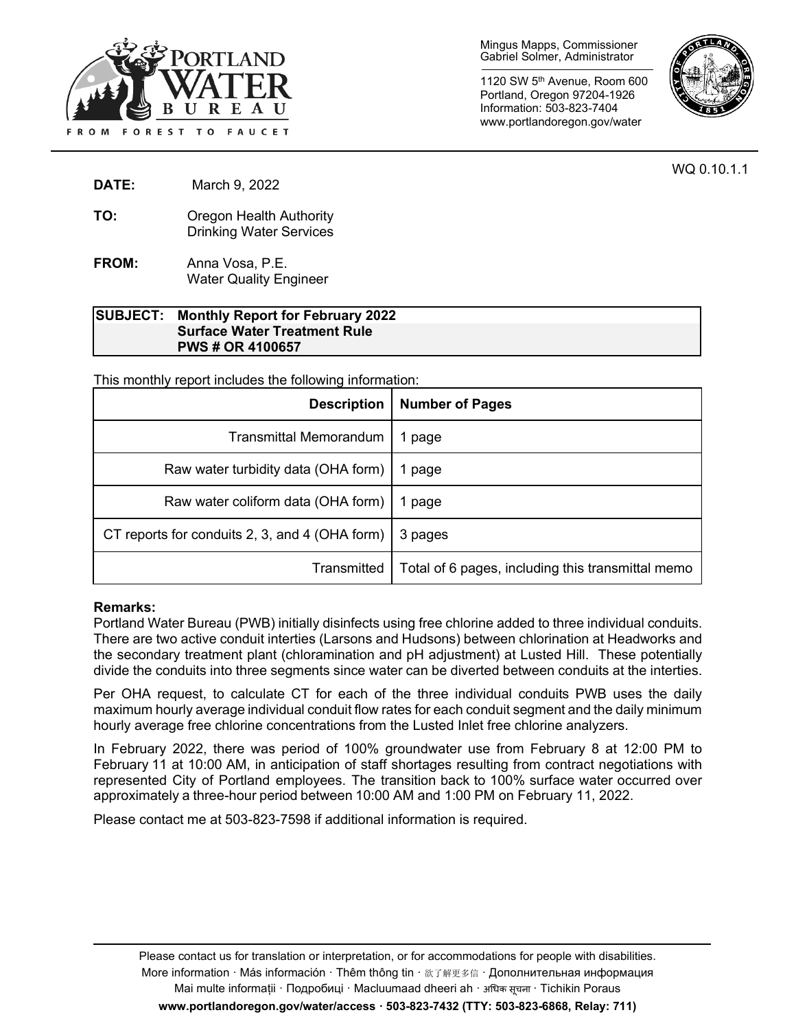

Mingus Mapps, Commissioner Gabriel Solmer, Administrator

1120 SW 5th Avenue, Room 600 Portland, Oregon 97204-1926 Information: 503-823-7404 www.portlandoregon.gov/water



WQ 0.10.1.1

- **DATE:** March 9, 2022
- **TO:** Oregon Health Authority Drinking Water Services
- **FROM:** Anna Vosa, P.E. Water Quality Engineer

#### **SUBJECT: Monthly Report for February 2022 Surface Water Treatment Rule PWS # OR 4100657**

This monthly report includes the following information:

| <b>Description</b>                             | <b>Number of Pages</b>                            |
|------------------------------------------------|---------------------------------------------------|
| <b>Transmittal Memorandum</b>                  | page                                              |
| Raw water turbidity data (OHA form)            | page                                              |
| Raw water coliform data (OHA form)             | page                                              |
| CT reports for conduits 2, 3, and 4 (OHA form) | 3 pages                                           |
| Transmitted                                    | Total of 6 pages, including this transmittal memo |

#### **Remarks:**

Portland Water Bureau (PWB) initially disinfects using free chlorine added to three individual conduits. There are two active conduit interties (Larsons and Hudsons) between chlorination at Headworks and the secondary treatment plant (chloramination and pH adjustment) at Lusted Hill. These potentially divide the conduits into three segments since water can be diverted between conduits at the interties.

Per OHA request, to calculate CT for each of the three individual conduits PWB uses the daily maximum hourly average individual conduit flow rates for each conduit segment and the daily minimum hourly average free chlorine concentrations from the Lusted Inlet free chlorine analyzers.

In February 2022, there was period of 100% groundwater use from February 8 at 12:00 PM to February 11 at 10:00 AM, in anticipation of staff shortages resulting from contract negotiations with represented City of Portland employees. The transition back to 100% surface water occurred over approximately a three-hour period between 10:00 AM and 1:00 PM on February 11, 2022.

Please contact me at 503-823-7598 if additional information is required.